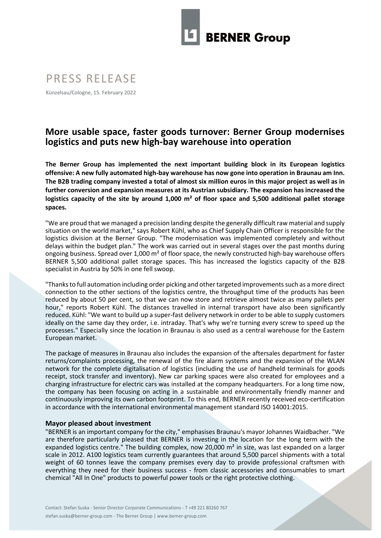

# PRESS RELEASE

Künzelsau/Cologne, 15. February 2022

# **More usable space, faster goods turnover: Berner Group modernises logistics and puts new high-bay warehouse into operation**

**The Berner Group has implemented the next important building block in its European logistics offensive: A new fully automated high-bay warehouse has now gone into operation in Braunau am Inn. The B2B trading company invested a total of almost six million euros in this major project as well as in further conversion and expansion measures at its Austrian subsidiary. The expansion has increased the logistics capacity of the site by around 1,000 m² of floor space and 5,500 additional pallet storage spaces.**

"We are proud that we managed a precision landing despite the generally difficult raw material and supply situation on the world market," says Robert Kühl, who as Chief Supply Chain Officer is responsible for the logistics division at the Berner Group. "The modernisation was implemented completely and without delays within the budget plan." The work was carried out in several stages over the past months during ongoing business. Spread over  $1,000$  m<sup>2</sup> of floor space, the newly constructed high-bay warehouse offers BERNER 5,500 additional pallet storage spaces. This has increased the logistics capacity of the B2B specialist in Austria by 50% in one fell swoop.

"Thanks to full automation including order picking and other targeted improvements such as a more direct connection to the other sections of the logistics centre, the throughput time of the products has been reduced by about 50 per cent, so that we can now store and retrieve almost twice as many pallets per hour," reports Robert Kühl. The distances travelled in internal transport have also been significantly reduced. Kühl: "We want to build up a super-fast delivery network in order to be able to supply customers ideally on the same day they order, i.e. intraday. That's why we're turning every screw to speed up the processes." Especially since the location in Braunau is also used as a central warehouse for the Eastern European market.

The package of measures in Braunau also includes the expansion of the aftersales department for faster returns/complaints processing, the renewal of the fire alarm systems and the expansion of the WLAN network for the complete digitalisation of logistics (including the use of handheld terminals for goods receipt, stock transfer and inventory). New car parking spaces were also created for employees and a charging infrastructure for electric cars was installed at the company headquarters. For a long time now, the company has been focusing on acting in a sustainable and environmentally friendly manner and continuously improving its own carbon footprint. To this end, BERNER recently received eco-certification in accordance with the international environmental management standard ISO 14001:2015.

## **Mayor pleased about investment**

"BERNER is an important company for the city," emphasises Braunau's mayor Johannes Waidbacher. "We are therefore particularly pleased that BERNER is investing in the location for the long term with the expanded logistics centre." The building complex, now 20,000 m<sup>2</sup> in size, was last expanded on a larger scale in 2012. A100 logistics team currently guarantees that around 5,500 parcel shipments with a total weight of 60 tonnes leave the company premises every day to provide professional craftsmen with everything they need for their business success - from classic accessories and consumables to smart chemical "All In One" products to powerful power tools or the right protective clothing.